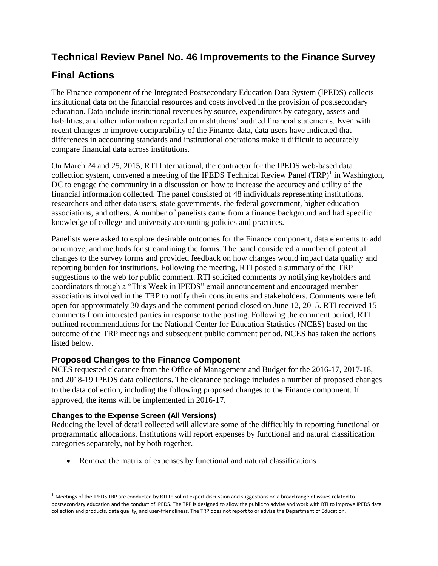## **Technical Review Panel No. 46 Improvements to the Finance Survey**

## **Final Actions**

The Finance component of the Integrated Postsecondary Education Data System (IPEDS) collects institutional data on the financial resources and costs involved in the provision of postsecondary education. Data include institutional revenues by source, expenditures by category, assets and liabilities, and other information reported on institutions' audited financial statements. Even with recent changes to improve comparability of the Finance data, data users have indicated that differences in accounting standards and institutional operations make it difficult to accurately compare financial data across institutions.

On March 24 and 25, 2015, RTI International, the contractor for the IPEDS web-based data collection system, convened a meeting of the IPEDS Technical Review Panel  $(TRP)^1$  in Washington, DC to engage the community in a discussion on how to increase the accuracy and utility of the financial information collected. The panel consisted of 48 individuals representing institutions, researchers and other data users, state governments, the federal government, higher education associations, and others. A number of panelists came from a finance background and had specific knowledge of college and university accounting policies and practices.

Panelists were asked to explore desirable outcomes for the Finance component, data elements to add or remove, and methods for streamlining the forms. The panel considered a number of potential changes to the survey forms and provided feedback on how changes would impact data quality and reporting burden for institutions. Following the meeting, RTI posted a summary of the TRP suggestions to the web for public comment. RTI solicited comments by notifying keyholders and coordinators through a "This Week in IPEDS" email announcement and encouraged member associations involved in the TRP to notify their constituents and stakeholders. Comments were left open for approximately 30 days and the comment period closed on June 12, 2015. RTI received 15 comments from interested parties in response to the posting. Following the comment period, RTI outlined recommendations for the National Center for Education Statistics (NCES) based on the outcome of the TRP meetings and subsequent public comment period. NCES has taken the actions listed below.

## **Proposed Changes to the Finance Component**

NCES requested clearance from the Office of Management and Budget for the 2016-17, 2017-18, and 2018-19 IPEDS data collections. The clearance package includes a number of proposed changes to the data collection, including the following proposed changes to the Finance component. If approved, the items will be implemented in 2016-17.

## **Changes to the Expense Screen (All Versions)**

 $\overline{\phantom{a}}$ 

Reducing the level of detail collected will alleviate some of the difficultly in reporting functional or programmatic allocations. Institutions will report expenses by functional and natural classification categories separately, not by both together.

• Remove the matrix of expenses by functional and natural classifications

 $1$  Meetings of the IPEDS TRP are conducted by RTI to solicit expert discussion and suggestions on a broad range of issues related to postsecondary education and the conduct of IPEDS. The TRP is designed to allow the public to advise and work with RTI to improve IPEDS data collection and products, data quality, and user-friendliness. The TRP does not report to or advise the Department of Education.